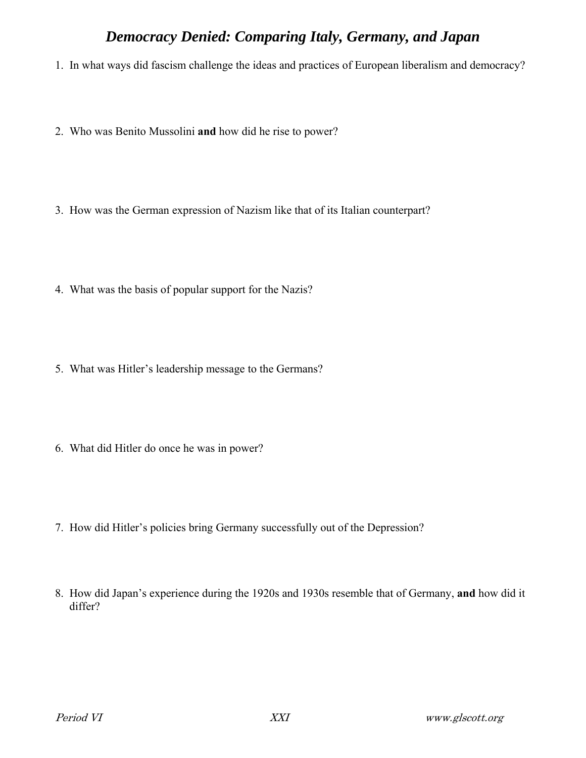## *Democracy Denied: Comparing Italy, Germany, and Japan*

- 1. In what ways did fascism challenge the ideas and practices of European liberalism and democracy?
- 2. Who was Benito Mussolini **and** how did he rise to power?
- 3. How was the German expression of Nazism like that of its Italian counterpart?
- 4. What was the basis of popular support for the Nazis?
- 5. What was Hitler's leadership message to the Germans?
- 6. What did Hitler do once he was in power?
- 7. How did Hitler's policies bring Germany successfully out of the Depression?
- 8. How did Japan's experience during the 1920s and 1930s resemble that of Germany, **and** how did it differ?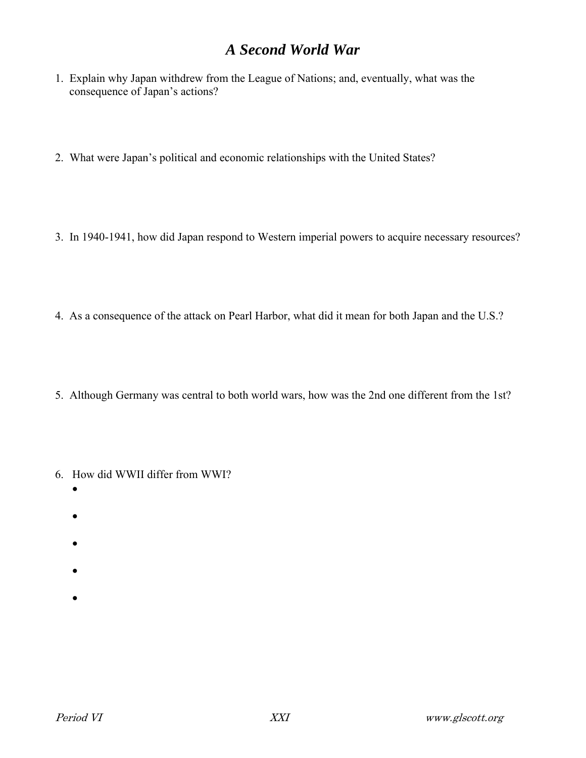## *A Second World War*

- 1. Explain why Japan withdrew from the League of Nations; and, eventually, what was the consequence of Japan's actions?
- 2. What were Japan's political and economic relationships with the United States?
- 3. In 1940-1941, how did Japan respond to Western imperial powers to acquire necessary resources?
- 4. As a consequence of the attack on Pearl Harbor, what did it mean for both Japan and the U.S.?
- 5. Although Germany was central to both world wars, how was the 2nd one different from the 1st?
- 6. How did WWII differ from WWI?
	- $\bullet$
	-
	- $\bullet$
	- $\bullet$
	-
	- $\bullet$
	- $\bullet$